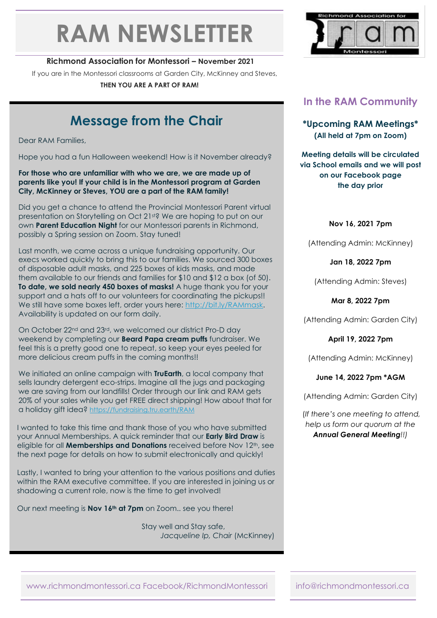# **RAM NEWSLETTER**

### **Richmond Association for Montessori – November 2021**

If you are in the Montessori classrooms at Garden City, McKinney and Steves,

**THEN YOU ARE A PART OF RAM!**

# **Message from the Chair**

Dear RAM Families,

Hope you had a fun Halloween weekend! How is it November already?

#### **For those who are unfamiliar with who we are, we are made up of parents like you! If your child is in the Montessori program at Garden City, McKinney or Steves, YOU are a part of the RAM family!**

Did you get a chance to attend the Provincial Montessori Parent virtual presentation on Storytelling on Oct 21st? We are hoping to put on our own **Parent Education Night** for our Montessori parents in Richmond, possibly a Spring session on Zoom. Stay tuned!

Last month, we came across a unique fundraising opportunity. Our execs worked quickly to bring this to our families. We sourced 300 boxes of disposable adult masks, and 225 boxes of kids masks, and made them available to our friends and families for \$10 and \$12 a box (of 50). **To date, we sold nearly 450 boxes of masks!** A huge thank you for your support and a hats off to our volunteers for coordinating the pickups!! We still have some boxes left, order yours here: [http://bit.ly/RAMmask.](http://bit.ly/RAMmask) Availability is updated on our form daily.

On October 22<sup>nd</sup> and 23<sup>rd</sup>, we welcomed our district Pro-D day weekend by completing our **Beard Papa cream puffs** fundraiser. We feel this is a pretty good one to repeat, so keep your eyes peeled for more delicious cream puffs in the coming months!!

We initiated an online campaign with **TruEarth**, a local company that sells laundry detergent eco-strips. Imagine all the jugs and packaging we are saving from our landfills! Order through our link and RAM gets 20% of your sales while you get FREE direct shipping! How about that for a holiday gift idea? <https://fundraising.tru.earth/RAM>

I wanted to take this time and thank those of you who have submitted your Annual Memberships. A quick reminder that our **Early Bird Draw** is eligible for all **Memberships and Donations** received before Nov 12<sup>th</sup>, see the next page for details on how to submit electronically and quickly!

Lastly, I wanted to bring your attention to the various positions and duties within the RAM executive committee. If you are interested in joining us or shadowing a current role, now is the time to get involved!

Our next meeting is **Nov 16th at 7pm** on Zoom.. see you there!

 Stay well and Stay safe, *Jacqueline Ip, Chair* (McKinney)



# **In the RAM Community**

**\*Upcoming RAM Meetings\* (All held at 7pm on Zoom)**

**Meeting details will be circulated via School emails and we will post on our Facebook page the day prior**

**Nov 16, 2021 7pm** 

(Attending Admin: McKinney)

**Jan 18, 2022 7pm**

(Attending Admin: Steves)

**Mar 8, 2022 7pm**

(Attending Admin: Garden City)

**April 19, 2022 7pm**

(Attending Admin: McKinney)

**June 14, 2022 7pm \*AGM** 

(Attending Admin: Garden City)

(*If there's one meeting to attend, help us form our quorum at the Annual General Meeting!!)*

www.richmondmontessori.ca Facebook/RichmondMontessori info@richmondmontessori.ca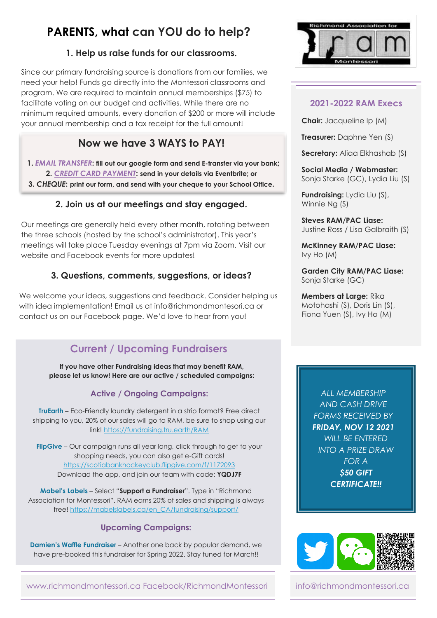# **PARENTS, what can YOU do to help?**

## **1. Help us raise funds for our classrooms.**

Since our primary fundraising source is donations from our families, we need your help! Funds go directly into the Montessori classrooms and program. We are required to maintain annual memberships (\$75) to facilitate voting on our budget and activities. While there are no minimum required amounts, every donation of \$200 or more will include your annual membership and a tax receipt for the full amount!

# **Now we have 3 WAYS to PAY!**

 **1.** *[EMAIL TRANSFER](https://bit.ly/3Ce6Ng8)***: fill out our google form and send E-transfer via your bank; 2.** *[CREDIT CARD PAYMENT](https://bit.ly/2XnhkXm)***: send in your details via Eventbrite; or 3.** *CHEQUE***: print our form, and send with your cheque to your School Office.**

# **2. Join us at our meetings and stay engaged.**

Our meetings are generally held every other month, rotating between the three schools (hosted by the school's administrator). This year's meetings will take place Tuesday evenings at 7pm via Zoom. Visit our website and Facebook events for more updates!

# **3. Questions, comments, suggestions, or ideas?**

We welcome your ideas, suggestions and feedback. Consider helping us with idea implementation! Email us at info@richmondmontesori.ca or contact us on our Facebook page. We'd love to hear from you!

# **Current / Upcoming Fundraisers**

**PARENTS, what can YO please let us know! Here are our active / scheduled campaigns: If you have other Fundraising ideas that may benefit RAM,** 

# *l* **<b>a** *l* **<b>***define / Ongoing Campaigns:*

**TruEarth** – Eco-Friendly laundry detergent in a strip format? Free direct shipping to you, 20% of our sales will go to RAM, be sure to shop using our link!<https://fundraising.tru.earth/RAM>

**FlipGive** – Our campaign runs all year long, click through to get to your shopping needs, you can also get e-Gift cards! <https://scotiabankhockeyclub.flipgive.com/f/1172093> Download the app, and join our team with code: **YQDJ7F**

**Mabel's Labels** – Select "**Support a Fundraiser**". Type in "Richmond Association for Montessori". RAM earns 20% of sales and shipping is always free[! https://mabelslabels.ca/en\\_CA/fundraising/support/](https://mabelslabels.ca/en_CA/fundraising/support/)

## **Upcoming Campaigns:**

**Damien's Waffle Fundraiser** – Another one back by popular demand, we have pre-booked this fundraiser for Spring 2022. Stay tuned for March!!





## **2021-2022 RAM Execs**

**Chair:** Jacqueline Ip (M)

**Treasurer:** Daphne Yen (S)

**Secretary:** Aliaa Elkhashab (S)

**Social Media / Webmaster:** Sonja Starke (GC), Lydia Liu (S)

**Fundraising:** Lydia Liu (S), Winnie Ng (S)

**Steves RAM/PAC Liase:** Justine Ross / Lisa Galbraith (S)

**McKinney RAM/PAC Liase:** Ivy Ho (M)

**Garden City RAM/PAC Liase:** Sonja Starke (GC)

**Members at Large:** Rika Motohashi (S), Doris Lin (S), Fiona Yuen (S), Ivy Ho (M)

> *ALL MEMBERSHIP AND CASH DRIVE FORMS RECEIVED BY FRIDAY, NOV 12 2021 WILL BE ENTERED INTO A PRIZE DRAW FOR A \$50 GIFT CERTIFICATE!!*



 $\overline{\phantom{a}}$